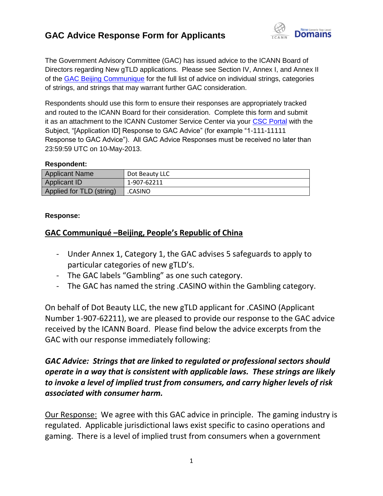

The Government Advisory Committee (GAC) has issued advice to the ICANN Board of Directors regarding New gTLD applications. Please see Section IV, Annex I, and Annex II of the [GAC Beijing Communique](http://www.icann.org/en/news/correspondence/gac-to-board-18apr13-en.pdf) for the full list of advice on individual strings, categories of strings, and strings that may warrant further GAC consideration.

Respondents should use this form to ensure their responses are appropriately tracked and routed to the ICANN Board for their consideration. Complete this form and submit it as an attachment to the ICANN Customer Service Center via your [CSC Portal](https://myicann.secure.force.com/) with the Subject, "[Application ID] Response to GAC Advice" (for example "1-111-11111 Response to GAC Advice"). All GAC Advice Responses must be received no later than 23:59:59 UTC on 10-May-2013.

#### **Respondent:**

| <b>Applicant Name</b>    | Dot Beauty LLC |
|--------------------------|----------------|
| Applicant ID             | 1-907-62211    |
| Applied for TLD (string) | .CASINO        |

#### **Response:**

#### **GAC Communiqué –Beijing, People's Republic of China**

- Under Annex 1, Category 1, the GAC advises 5 safeguards to apply to particular categories of new gTLD's.
- The GAC labels "Gambling" as one such category.
- The GAC has named the string .CASINO within the Gambling category.

On behalf of Dot Beauty LLC, the new gTLD applicant for .CASINO (Applicant Number 1-907-62211), we are pleased to provide our response to the GAC advice received by the ICANN Board. Please find below the advice excerpts from the GAC with our response immediately following:

#### *GAC Advice: Strings that are linked to regulated or professional sectors should operate in a way that is consistent with applicable laws. These strings are likely to invoke a level of implied trust from consumers, and carry higher levels of risk associated with consumer harm.*

Our Response: We agree with this GAC advice in principle. The gaming industry is regulated. Applicable jurisdictional laws exist specific to casino operations and gaming. There is a level of implied trust from consumers when a government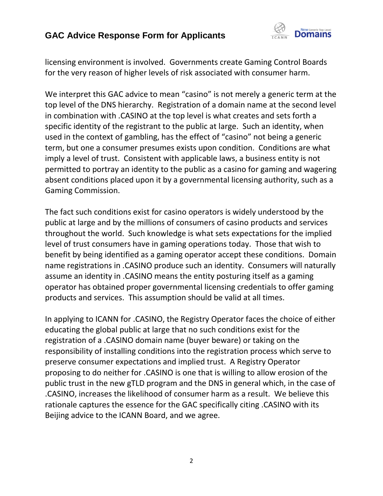

licensing environment is involved. Governments create Gaming Control Boards for the very reason of higher levels of risk associated with consumer harm.

We interpret this GAC advice to mean "casino" is not merely a generic term at the top level of the DNS hierarchy. Registration of a domain name at the second level in combination with .CASINO at the top level is what creates and sets forth a specific identity of the registrant to the public at large. Such an identity, when used in the context of gambling, has the effect of "casino" not being a generic term, but one a consumer presumes exists upon condition. Conditions are what imply a level of trust. Consistent with applicable laws, a business entity is not permitted to portray an identity to the public as a casino for gaming and wagering absent conditions placed upon it by a governmental licensing authority, such as a Gaming Commission.

The fact such conditions exist for casino operators is widely understood by the public at large and by the millions of consumers of casino products and services throughout the world. Such knowledge is what sets expectations for the implied level of trust consumers have in gaming operations today. Those that wish to benefit by being identified as a gaming operator accept these conditions. Domain name registrations in .CASINO produce such an identity. Consumers will naturally assume an identity in .CASINO means the entity posturing itself as a gaming operator has obtained proper governmental licensing credentials to offer gaming products and services. This assumption should be valid at all times.

In applying to ICANN for .CASINO, the Registry Operator faces the choice of either educating the global public at large that no such conditions exist for the registration of a .CASINO domain name (buyer beware) or taking on the responsibility of installing conditions into the registration process which serve to preserve consumer expectations and implied trust. A Registry Operator proposing to do neither for .CASINO is one that is willing to allow erosion of the public trust in the new gTLD program and the DNS in general which, in the case of .CASINO, increases the likelihood of consumer harm as a result. We believe this rationale captures the essence for the GAC specifically citing .CASINO with its Beijing advice to the ICANN Board, and we agree.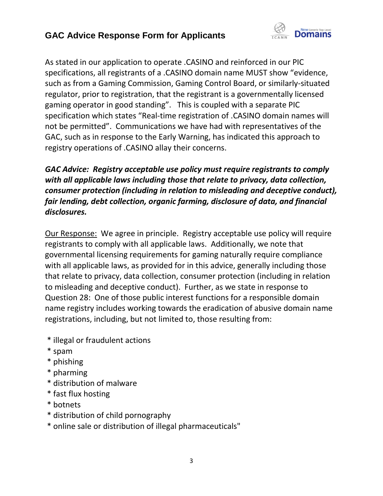

As stated in our application to operate .CASINO and reinforced in our PIC specifications, all registrants of a .CASINO domain name MUST show "evidence, such as from a Gaming Commission, Gaming Control Board, or similarly-situated regulator, prior to registration, that the registrant is a governmentally licensed gaming operator in good standing". This is coupled with a separate PIC specification which states "Real-time registration of .CASINO domain names will not be permitted". Communications we have had with representatives of the GAC, such as in response to the Early Warning, has indicated this approach to registry operations of .CASINO allay their concerns.

### *GAC Advice: Registry acceptable use policy must require registrants to comply with all applicable laws including those that relate to privacy, data collection, consumer protection (including in relation to misleading and deceptive conduct), fair lending, debt collection, organic farming, disclosure of data, and financial disclosures.*

Our Response: We agree in principle. Registry acceptable use policy will require registrants to comply with all applicable laws. Additionally, we note that governmental licensing requirements for gaming naturally require compliance with all applicable laws, as provided for in this advice, generally including those that relate to privacy, data collection, consumer protection (including in relation to misleading and deceptive conduct). Further, as we state in response to Question 28: One of those public interest functions for a responsible domain name registry includes working towards the eradication of abusive domain name registrations, including, but not limited to, those resulting from:

- \* illegal or fraudulent actions
- \* spam
- \* phishing
- \* pharming
- \* distribution of malware
- \* fast flux hosting
- \* botnets
- \* distribution of child pornography
- \* online sale or distribution of illegal pharmaceuticals"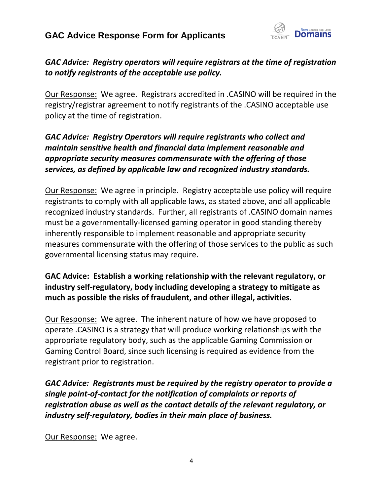

#### *GAC Advice: Registry operators will require registrars at the time of registration to notify registrants of the acceptable use policy.*

Our Response: We agree. Registrars accredited in .CASINO will be required in the registry/registrar agreement to notify registrants of the .CASINO acceptable use policy at the time of registration.

#### *GAC Advice: Registry Operators will require registrants who collect and maintain sensitive health and financial data implement reasonable and appropriate security measures commensurate with the offering of those services, as defined by applicable law and recognized industry standards.*

Our Response: We agree in principle. Registry acceptable use policy will require registrants to comply with all applicable laws, as stated above, and all applicable recognized industry standards. Further, all registrants of .CASINO domain names must be a governmentally-licensed gaming operator in good standing thereby inherently responsible to implement reasonable and appropriate security measures commensurate with the offering of those services to the public as such governmental licensing status may require.

#### **GAC Advice: Establish a working relationship with the relevant regulatory, or industry self-regulatory, body including developing a strategy to mitigate as much as possible the risks of fraudulent, and other illegal, activities.**

Our Response: We agree. The inherent nature of how we have proposed to operate .CASINO is a strategy that will produce working relationships with the appropriate regulatory body, such as the applicable Gaming Commission or Gaming Control Board, since such licensing is required as evidence from the registrant prior to registration.

*GAC Advice: Registrants must be required by the registry operator to provide a single point-of-contact for the notification of complaints or reports of registration abuse as well as the contact details of the relevant regulatory, or industry self-regulatory, bodies in their main place of business.*

Our Response: We agree.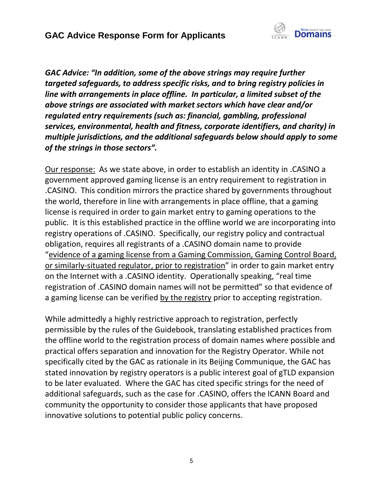

*GAC Advice: "In addition, some of the above strings may require further targeted safeguards, to address specific risks, and to bring registry policies in line with arrangements in place offline. In particular, a limited subset of the above strings are associated with market sectors which have clear and/or regulated entry requirements (such as: financial, gambling, professional services, environmental, health and fitness, corporate identifiers, and charity) in multiple jurisdictions, and the additional safeguards below should apply to some of the strings in those sectors".*

Our response: As we state above, in order to establish an identity in .CASINO a government approved gaming license is an entry requirement to registration in .CASINO. This condition mirrors the practice shared by governments throughout the world, therefore in line with arrangements in place offline, that a gaming license is required in order to gain market entry to gaming operations to the public. It is this established practice in the offline world we are incorporating into registry operations of .CASINO. Specifically, our registry policy and contractual obligation, requires all registrants of a .CASINO domain name to provide "evidence of a gaming license from a Gaming Commission, Gaming Control Board, or similarly-situated regulator, prior to registration" in order to gain market entry on the Internet with a .CASINO identity. Operationally speaking, "real time registration of .CASINO domain names will not be permitted" so that evidence of a gaming license can be verified by the registry prior to accepting registration.

While admittedly a highly restrictive approach to registration, perfectly permissible by the rules of the Guidebook, translating established practices from the offline world to the registration process of domain names where possible and practical offers separation and innovation for the Registry Operator. While not specifically cited by the GAC as rationale in its Beijing Communique, the GAC has stated innovation by registry operators is a public interest goal of gTLD expansion to be later evaluated. Where the GAC has cited specific strings for the need of additional safeguards, such as the case for .CASINO, offers the ICANN Board and community the opportunity to consider those applicants that have proposed innovative solutions to potential public policy concerns.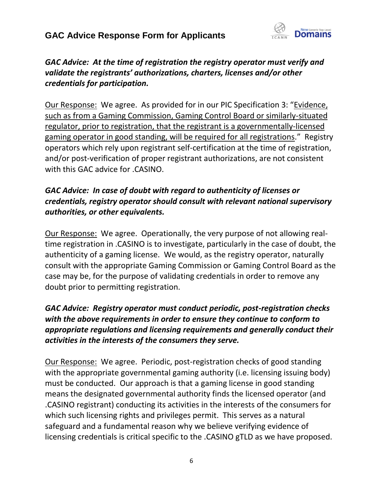

### *GAC Advice: At the time of registration the registry operator must verify and validate the registrants' authorizations, charters, licenses and/or other credentials for participation.*

Our Response: We agree. As provided for in our PIC Specification 3: "Evidence, such as from a Gaming Commission, Gaming Control Board or similarly-situated regulator, prior to registration, that the registrant is a governmentally-licensed gaming operator in good standing, will be required for all registrations." Registry operators which rely upon registrant self-certification at the time of registration, and/or post-verification of proper registrant authorizations, are not consistent with this GAC advice for .CASINO.

#### *GAC Advice: In case of doubt with regard to authenticity of licenses or credentials, registry operator should consult with relevant national supervisory authorities, or other equivalents.*

Our Response: We agree. Operationally, the very purpose of not allowing realtime registration in .CASINO is to investigate, particularly in the case of doubt, the authenticity of a gaming license. We would, as the registry operator, naturally consult with the appropriate Gaming Commission or Gaming Control Board as the case may be, for the purpose of validating credentials in order to remove any doubt prior to permitting registration.

### *GAC Advice: Registry operator must conduct periodic, post-registration checks with the above requirements in order to ensure they continue to conform to appropriate regulations and licensing requirements and generally conduct their activities in the interests of the consumers they serve.*

Our Response: We agree. Periodic, post-registration checks of good standing with the appropriate governmental gaming authority (i.e. licensing issuing body) must be conducted. Our approach is that a gaming license in good standing means the designated governmental authority finds the licensed operator (and .CASINO registrant) conducting its activities in the interests of the consumers for which such licensing rights and privileges permit. This serves as a natural safeguard and a fundamental reason why we believe verifying evidence of licensing credentials is critical specific to the .CASINO gTLD as we have proposed.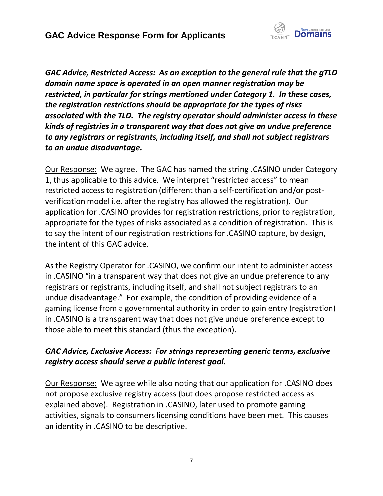

*GAC Advice, Restricted Access: As an exception to the general rule that the gTLD domain name space is operated in an open manner registration may be restricted, in particular for strings mentioned under Category 1. In these cases, the registration restrictions should be appropriate for the types of risks associated with the TLD. The registry operator should administer access in these kinds of registries in a transparent way that does not give an undue preference to any registrars or registrants, including itself, and shall not subject registrars to an undue disadvantage.*

Our Response: We agree. The GAC has named the string .CASINO under Category 1, thus applicable to this advice. We interpret "restricted access" to mean restricted access to registration (different than a self-certification and/or postverification model i.e. after the registry has allowed the registration). Our application for .CASINO provides for registration restrictions, prior to registration, appropriate for the types of risks associated as a condition of registration. This is to say the intent of our registration restrictions for .CASINO capture, by design, the intent of this GAC advice.

As the Registry Operator for .CASINO, we confirm our intent to administer access in .CASINO "in a transparent way that does not give an undue preference to any registrars or registrants, including itself, and shall not subject registrars to an undue disadvantage." For example, the condition of providing evidence of a gaming license from a governmental authority in order to gain entry (registration) in .CASINO is a transparent way that does not give undue preference except to those able to meet this standard (thus the exception).

#### *GAC Advice, Exclusive Access: For strings representing generic terms, exclusive registry access should serve a public interest goal.*

Our Response: We agree while also noting that our application for .CASINO does not propose exclusive registry access (but does propose restricted access as explained above). Registration in .CASINO, later used to promote gaming activities, signals to consumers licensing conditions have been met. This causes an identity in .CASINO to be descriptive.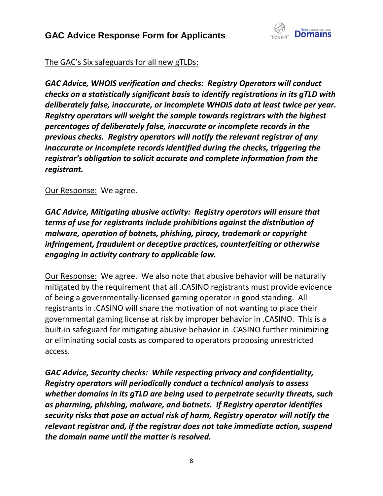

#### The GAC's Six safeguards for all new gTLDs:

*GAC Advice, WHOIS verification and checks: Registry Operators will conduct checks on a statistically significant basis to identify registrations in its gTLD with deliberately false, inaccurate, or incomplete WHOIS data at least twice per year. Registry operators will weight the sample towards registrars with the highest percentages of deliberately false, inaccurate or incomplete records in the previous checks. Registry operators will notify the relevant registrar of any inaccurate or incomplete records identified during the checks, triggering the registrar's obligation to solicit accurate and complete information from the registrant.*

#### Our Response: We agree.

*GAC Advice, Mitigating abusive activity: Registry operators will ensure that terms of use for registrants include prohibitions against the distribution of malware, operation of botnets, phishing, piracy, trademark or copyright infringement, fraudulent or deceptive practices, counterfeiting or otherwise engaging in activity contrary to applicable law.*

Our Response: We agree. We also note that abusive behavior will be naturally mitigated by the requirement that all .CASINO registrants must provide evidence of being a governmentally-licensed gaming operator in good standing. All registrants in .CASINO will share the motivation of not wanting to place their governmental gaming license at risk by improper behavior in .CASINO. This is a built-in safeguard for mitigating abusive behavior in .CASINO further minimizing or eliminating social costs as compared to operators proposing unrestricted access.

*GAC Advice, Security checks: While respecting privacy and confidentiality, Registry operators will periodically conduct a technical analysis to assess whether domains in its gTLD are being used to perpetrate security threats, such as pharming, phishing, malware, and botnets. If Registry operator identifies security risks that pose an actual risk of harm, Registry operator will notify the relevant registrar and, if the registrar does not take immediate action, suspend the domain name until the matter is resolved.*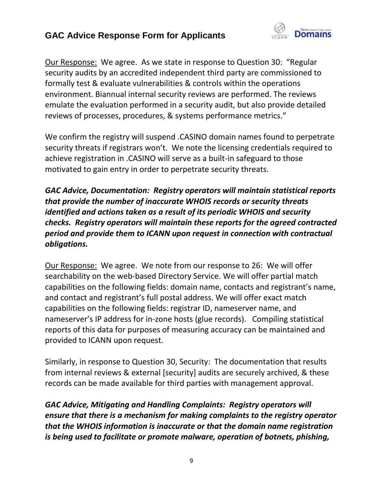

Our Response: We agree. As we state in response to Question 30: "Regular security audits by an accredited independent third party are commissioned to formally test & evaluate vulnerabilities & controls within the operations environment. Biannual internal security reviews are performed. The reviews emulate the evaluation performed in a security audit, but also provide detailed reviews of processes, procedures, & systems performance metrics."

We confirm the registry will suspend .CASINO domain names found to perpetrate security threats if registrars won't. We note the licensing credentials required to achieve registration in .CASINO will serve as a built-in safeguard to those motivated to gain entry in order to perpetrate security threats.

*GAC Advice, Documentation: Registry operators will maintain statistical reports that provide the number of inaccurate WHOIS records or security threats identified and actions taken as a result of its periodic WHOIS and security checks. Registry operators will maintain these reports for the agreed contracted period and provide them to ICANN upon request in connection with contractual obligations.*

Our Response: We agree. We note from our response to 26: We will offer searchability on the web-based Directory Service. We will offer partial match capabilities on the following fields: domain name, contacts and registrant's name, and contact and registrant's full postal address. We will offer exact match capabilities on the following fields: registrar ID, nameserver name, and nameserver's IP address for in-zone hosts (glue records). Compiling statistical reports of this data for purposes of measuring accuracy can be maintained and provided to ICANN upon request.

Similarly, in response to Question 30, Security: The documentation that results from internal reviews & external [security] audits are securely archived, & these records can be made available for third parties with management approval.

*GAC Advice, Mitigating and Handling Complaints: Registry operators will ensure that there is a mechanism for making complaints to the registry operator that the WHOIS information is inaccurate or that the domain name registration is being used to facilitate or promote malware, operation of botnets, phishing,*